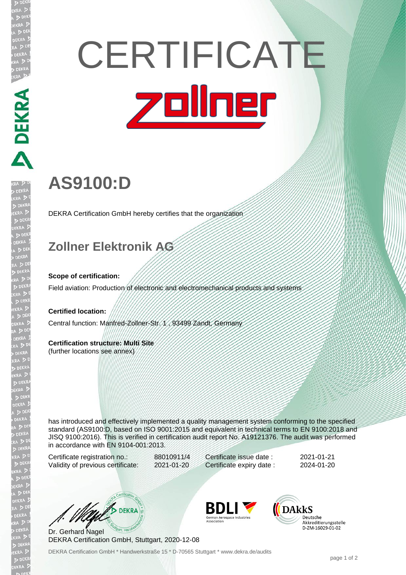# DEKRA PARA

# **CERTIFICATE** <u>zollner</u>

# **AS9100:D**

DEKRA Certification GmbH hereby certifies that the organization

## **Zollner Elektronik AG**

#### **Scope of certification:**

Field aviation: Production of electronic and electromechanical products and systems

#### **Certified location:**

Central function: Manfred-Zollner-Str. 1. 93499 Zandt, Germany

#### **Certification structure: Multi Site**  (further locations see annex)

has introduced and effectively implemented a quality management system conforming to the specified standard (AS9100:D, based on ISO 9001:2015 and equivalent in technical terms to EN 9100:2018 and JISQ 9100:2016). This is verified in certification audit report No. A19121376. The audit was performed in accordance with EN 9104-001:2013.

Certificate registration no.: 88010911/4 Validity of previous certificate: 2021-01-20

Certificate issue date : 2021-01-21 Certificate expiry date : 2024-01-20

W/ DEKRA

Dr. Gerhard Nagel DEKRA Certification GmbH, Stuttgart, 2020-12-08



**DARKS** Deutsche Akkreditierungsstelle<br>D-ZM-16029-01-02

DEKRA Certification GmbH \* Handwerkstraße 15 \* D-70565 Stuttgart \* www.dekra.de/audits